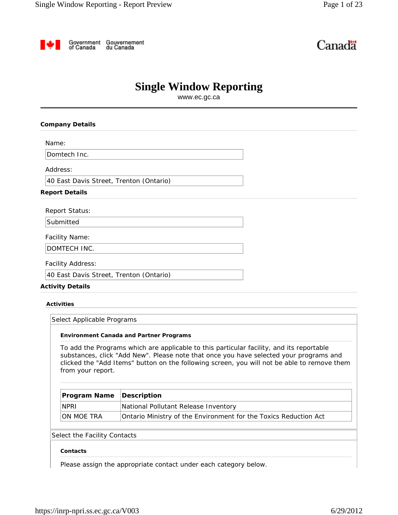Government Gouvernement<br>of Canada du Canada

# Canadä

## **Single Window Reporting**

www.ec.gc.ca

## **Company Details**

Name:

Domtech Inc.

Address:

40 East Davis Street, Trenton (Ontario)

### **Report Details**

Report Status:

Submitted

Facility Name:

DOMTECH INC.

Facility Address:

40 East Davis Street, Trenton (Ontario)

## **Activity Details**

**Activities**

Select Applicable Programs

#### **Environment Canada and Partner Programs**

To add the Programs which are applicable to this particular facility, and its reportable substances, click "Add New". Please note that once you have selected your programs and clicked the "Add Items" button on the following screen, you will not be able to remove them from your report.

| <b>Program Name Description</b> |                                                                  |
|---------------------------------|------------------------------------------------------------------|
| <b>NPRI</b>                     | National Pollutant Release Inventory                             |
| ION MOE TRA                     | Ontario Ministry of the Environment for the Toxics Reduction Act |

## Select the Facility Contacts

## **Contacts**

Please assign the appropriate contact under each category below.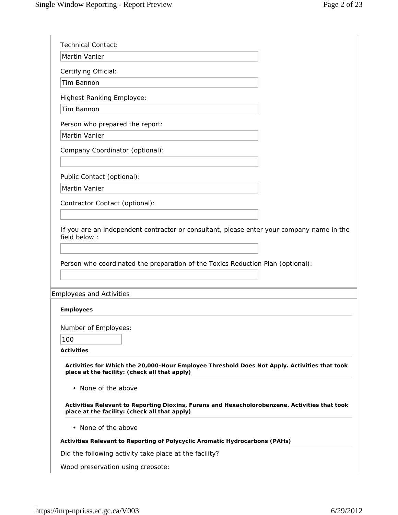| Martin Vanier                                                                                                                                                                                                                    |  |
|----------------------------------------------------------------------------------------------------------------------------------------------------------------------------------------------------------------------------------|--|
|                                                                                                                                                                                                                                  |  |
| Certifying Official:<br>Tim Bannon                                                                                                                                                                                               |  |
|                                                                                                                                                                                                                                  |  |
| <b>Highest Ranking Employee:</b>                                                                                                                                                                                                 |  |
| Tim Bannon                                                                                                                                                                                                                       |  |
| Person who prepared the report:                                                                                                                                                                                                  |  |
| Martin Vanier                                                                                                                                                                                                                    |  |
| Company Coordinator (optional):                                                                                                                                                                                                  |  |
|                                                                                                                                                                                                                                  |  |
| Public Contact (optional):                                                                                                                                                                                                       |  |
| <b>Martin Vanier</b>                                                                                                                                                                                                             |  |
| Contractor Contact (optional):                                                                                                                                                                                                   |  |
|                                                                                                                                                                                                                                  |  |
|                                                                                                                                                                                                                                  |  |
|                                                                                                                                                                                                                                  |  |
| If you are an independent contractor or consultant, please enter your company name in the<br>field below.:<br>Person who coordinated the preparation of the Toxics Reduction Plan (optional):<br><b>Employees and Activities</b> |  |
| <b>Employees</b>                                                                                                                                                                                                                 |  |
|                                                                                                                                                                                                                                  |  |
| 100                                                                                                                                                                                                                              |  |
| Number of Employees:<br><b>Activities</b>                                                                                                                                                                                        |  |
| Activities for Which the 20,000-Hour Employee Threshold Does Not Apply. Activities that took<br>place at the facility: (check all that apply)                                                                                    |  |
| • None of the above                                                                                                                                                                                                              |  |
| Activities Relevant to Reporting Dioxins, Furans and Hexacholorobenzene. Activities that took<br>place at the facility: (check all that apply)                                                                                   |  |
| • None of the above                                                                                                                                                                                                              |  |
| Activities Relevant to Reporting of Polycyclic Aromatic Hydrocarbons (PAHs)                                                                                                                                                      |  |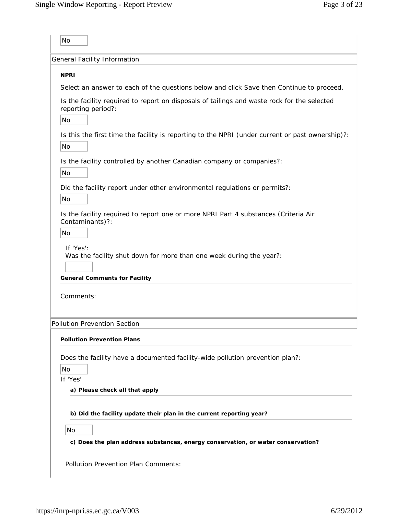|                                 | General Facility Information                                                                                |
|---------------------------------|-------------------------------------------------------------------------------------------------------------|
| <b>NPRI</b>                     |                                                                                                             |
|                                 | Select an answer to each of the questions below and click Save then Continue to proceed.                    |
| reporting period?:<br><b>No</b> | Is the facility required to report on disposals of tailings and waste rock for the selected                 |
| No                              | Is this the first time the facility is reporting to the NPRI (under current or past ownership)?:            |
| No                              | Is the facility controlled by another Canadian company or companies?:                                       |
| No                              | Did the facility report under other environmental regulations or permits?:                                  |
| Contaminants)?:<br>No           | Is the facility required to report one or more NPRI Part 4 substances (Criteria Air                         |
| If 'Yes':                       | Was the facility shut down for more than one week during the year?:<br><b>General Comments for Facility</b> |
| Comments:                       |                                                                                                             |
|                                 | Pollution Prevention Section                                                                                |
|                                 | <b>Pollution Prevention Plans</b>                                                                           |
| No<br>If 'Yes'                  | Does the facility have a documented facility-wide pollution prevention plan?:                               |
|                                 | a) Please check all that apply                                                                              |
|                                 | b) Did the facility update their plan in the current reporting year?                                        |
| No                              |                                                                                                             |
|                                 |                                                                                                             |
|                                 | c) Does the plan address substances, energy conservation, or water conservation?                            |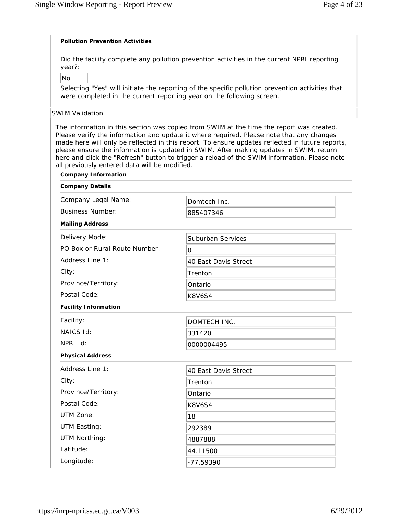## **Pollution Prevention Activities**

Did the facility complete any pollution prevention activities in the current NPRI reporting year?:

No

Selecting "Yes" will initiate the reporting of the specific pollution prevention activities that were completed in the current reporting year on the following screen.

## SWIM Validation

The information in this section was copied from SWIM at the time the report was created. Please verify the information and update it where required. Please note that any changes made here will only be reflected in this report. To ensure updates reflected in future reports, please ensure the information is updated in SWIM. After making updates in SWIM, return here and click the "Refresh" button to trigger a reload of the SWIM information. Please note all previously entered data will be modified.

| <b>Company Information</b>    |                          |
|-------------------------------|--------------------------|
| <b>Company Details</b>        |                          |
| Company Legal Name:           | Domtech Inc.             |
| <b>Business Number:</b>       | 885407346                |
| <b>Mailing Address</b>        |                          |
| Delivery Mode:                | <b>Suburban Services</b> |
| PO Box or Rural Route Number: | $\Omega$                 |
| Address Line 1:               | 40 East Davis Street     |
| City:                         | Trenton                  |
| Province/Territory:           | Ontario                  |
| Postal Code:                  | <b>K8V6S4</b>            |
| <b>Facility Information</b>   |                          |
| Facility:                     | DOMTECH INC.             |
| NAICS Id:                     | 331420                   |
| NPRI Id:                      | 0000004495               |
| <b>Physical Address</b>       |                          |
| Address Line 1:               | 40 East Davis Street     |
| City:                         | Trenton                  |
| Province/Territory:           | Ontario                  |
| Postal Code:                  | <b>K8V6S4</b>            |
| UTM Zone:                     | 18                       |
| UTM Easting:                  | 292389                   |
| UTM Northing:                 | 4887888                  |
| Latitude:                     | 44.11500                 |
| Longitude:                    | -77.59390                |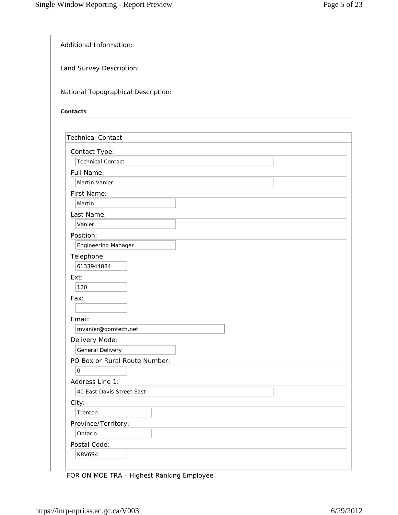Additional Information:

Land Survey Description:

National Topographical Description:

## **Contacts**

| <b>Technical Contact</b>      |  |
|-------------------------------|--|
| Contact Type:                 |  |
| <b>Technical Contact</b>      |  |
| Full Name:                    |  |
| <b>Martin Vanier</b>          |  |
| First Name:                   |  |
| Martin                        |  |
| Last Name:                    |  |
| Vanier                        |  |
| Position:                     |  |
| <b>Engineering Manager</b>    |  |
| Telephone:                    |  |
| 6133944884                    |  |
| Ext:                          |  |
| 120                           |  |
| Fax:                          |  |
|                               |  |
| Email:                        |  |
| mvanier@domtech.net           |  |
| Delivery Mode:                |  |
| General Delivery              |  |
| PO Box or Rural Route Number: |  |
| $\mathsf{O}$                  |  |
| Address Line 1:               |  |
| 40 East Davis Street East     |  |
| City:                         |  |
| Trenton                       |  |
| Province/Territory:           |  |
| Ontario                       |  |
| Postal Code:                  |  |
| <b>K8V6S4</b>                 |  |

FOR ON MOE TRA - Highest Ranking Employee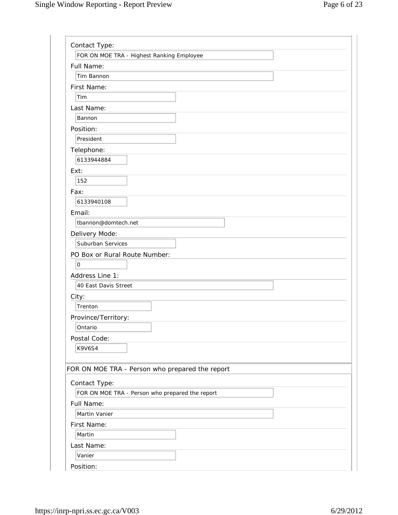| Contact Type:                                   |
|-------------------------------------------------|
| FOR ON MOE TRA - Highest Ranking Employee       |
| Full Name:                                      |
| Tim Bannon                                      |
| First Name:                                     |
| Tim                                             |
| Last Name:                                      |
| Bannon                                          |
| Position:                                       |
| President                                       |
| Telephone:                                      |
| 6133944884                                      |
| Ext:                                            |
| 152                                             |
| Fax:                                            |
| 6133940108                                      |
| Email:                                          |
| tbannon@domtech.net                             |
| Delivery Mode:                                  |
| Suburban Services                               |
| PO Box or Rural Route Number:                   |
| $\overline{0}$                                  |
| Address Line 1:                                 |
| 40 East Davis Street                            |
| City:                                           |
| Trenton                                         |
| Province/Territory:                             |
| Ontario                                         |
| Postal Code:                                    |
| K9V6S4                                          |
|                                                 |
| FOR ON MOE TRA - Person who prepared the report |
| Contact Type:                                   |
| FOR ON MOE TRA - Person who prepared the report |
| Full Name:                                      |
| Martin Vanier                                   |
| First Name:                                     |
| Martin                                          |
| Last Name:                                      |
| Vanier                                          |
| Position:                                       |

Position: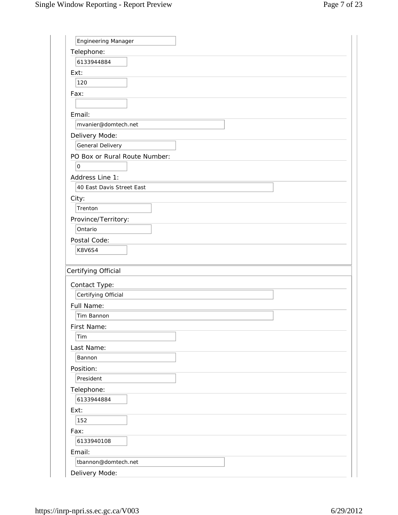| Engineering Manager           |  |
|-------------------------------|--|
| Telephone:                    |  |
| 6133944884                    |  |
| Ext:                          |  |
| 120                           |  |
| Fax:                          |  |
|                               |  |
| Email:                        |  |
| mvanier@domtech.net           |  |
| Delivery Mode:                |  |
| General Delivery              |  |
| PO Box or Rural Route Number: |  |
| $\mathsf O$                   |  |
| Address Line 1:               |  |
| 40 East Davis Street East     |  |
| City:                         |  |
| Trenton                       |  |
|                               |  |
| Province/Territory:           |  |
| Ontario                       |  |
| Postal Code:                  |  |
| <b>K8V6S4</b>                 |  |
|                               |  |
| Certifying Official           |  |
|                               |  |
| Contact Type:                 |  |
| Certifying Official           |  |
| Full Name:<br>Tim Bannon      |  |
|                               |  |
| First Name:<br>Tim            |  |
|                               |  |
| Last Name:<br>Bannon          |  |
|                               |  |
| Position:<br>President        |  |
|                               |  |
| Telephone:<br>6133944884      |  |
|                               |  |
| Ext:<br>152                   |  |
|                               |  |
| Fax:                          |  |
| 6133940108                    |  |
| Email:<br>tbannon@domtech.net |  |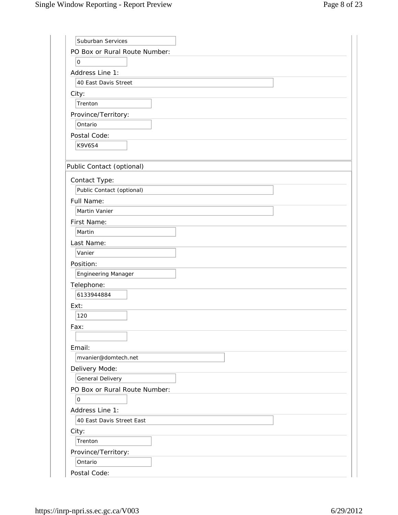| Suburban Services             |
|-------------------------------|
| PO Box or Rural Route Number: |
| 0                             |
| Address Line 1:               |
| 40 East Davis Street          |
| City:                         |
| Trenton                       |
| Province/Territory:           |
| Ontario                       |
| Postal Code:                  |
| <b>K9V6S4</b>                 |
|                               |
| Public Contact (optional)     |
| Contact Type:                 |
| Public Contact (optional)     |
| Full Name:                    |
| Martin Vanier                 |
| First Name:                   |
| Martin                        |
| Last Name:                    |
| Vanier                        |
| Position:                     |
| <b>Engineering Manager</b>    |
| Telephone:                    |
| 6133944884                    |
| Ext:                          |
| 120                           |
| Fax:                          |
|                               |
| Email:                        |
| mvanier@domtech.net           |
| Delivery Mode:                |
| General Delivery              |
| PO Box or Rural Route Number: |
| 0                             |
| Address Line 1:               |
| 40 East Davis Street East     |
| City:                         |
| Trenton                       |
| Province/Territory:           |
| Ontario                       |
| Postal Code:                  |
|                               |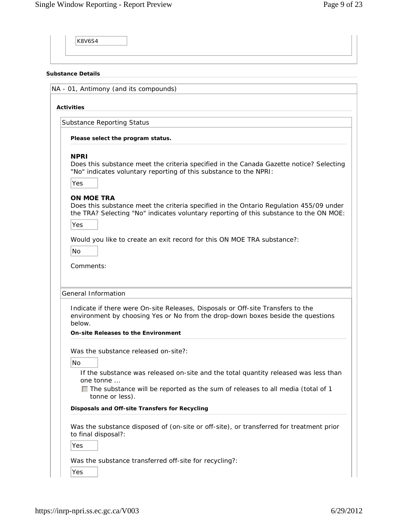| <b>Substance Details</b>                                                                                                                                                                                                                       |
|------------------------------------------------------------------------------------------------------------------------------------------------------------------------------------------------------------------------------------------------|
| NA - 01, Antimony (and its compounds)                                                                                                                                                                                                          |
| <b>Activities</b>                                                                                                                                                                                                                              |
| <b>Substance Reporting Status</b>                                                                                                                                                                                                              |
| Please select the program status.                                                                                                                                                                                                              |
| <b>NPRI</b><br>Does this substance meet the criteria specified in the Canada Gazette notice? Selecting<br>"No" indicates voluntary reporting of this substance to the NPRI:<br>Yes                                                             |
| <b>ON MOE TRA</b><br>Does this substance meet the criteria specified in the Ontario Regulation 455/09 under<br>the TRA? Selecting "No" indicates voluntary reporting of this substance to the ON MOE:<br>Yes                                   |
| Would you like to create an exit record for this ON MOE TRA substance?:<br><b>No</b><br>Comments:                                                                                                                                              |
| General Information<br>Indicate if there were On-site Releases, Disposals or Off-site Transfers to the<br>environment by choosing Yes or No from the drop-down boxes beside the questions<br>below.                                            |
| <b>On-site Releases to the Environment</b>                                                                                                                                                                                                     |
| Was the substance released on-site?:<br><b>No</b><br>If the substance was released on-site and the total quantity released was less than<br>one tonne<br>$\Box$ The substance will be reported as the sum of releases to all media (total of 1 |
| tonne or less).<br>Disposals and Off-site Transfers for Recycling                                                                                                                                                                              |
| Was the substance disposed of (on-site or off-site), or transferred for treatment prior<br>to final disposal?:<br>Yes                                                                                                                          |
| Was the substance transferred off-site for recycling?:                                                                                                                                                                                         |
| Yes                                                                                                                                                                                                                                            |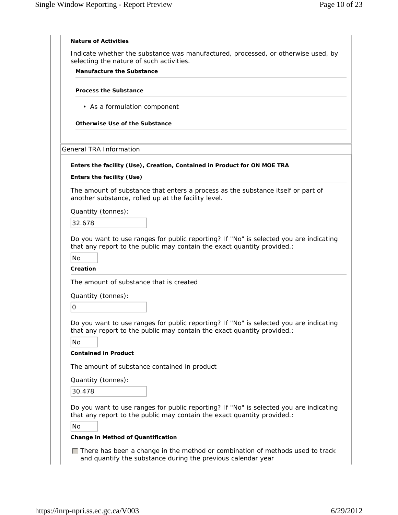|                     | selecting the nature of such activities.                                                                                                                          |
|---------------------|-------------------------------------------------------------------------------------------------------------------------------------------------------------------|
|                     | <b>Manufacture the Substance</b>                                                                                                                                  |
|                     | <b>Process the Substance</b>                                                                                                                                      |
|                     | • As a formulation component                                                                                                                                      |
|                     | Otherwise Use of the Substance                                                                                                                                    |
|                     | <b>General TRA Information</b>                                                                                                                                    |
|                     | Enters the facility (Use), Creation, Contained in Product for ON MOE TRA                                                                                          |
|                     | Enters the facility (Use)                                                                                                                                         |
|                     | The amount of substance that enters a process as the substance itself or part of<br>another substance, rolled up at the facility level.                           |
|                     | Quantity (tonnes):                                                                                                                                                |
|                     | 32.678                                                                                                                                                            |
| <b>No</b>           | that any report to the public may contain the exact quantity provided.:<br>Creation                                                                               |
|                     | The amount of substance that is created                                                                                                                           |
|                     | Quantity (tonnes):                                                                                                                                                |
| $\mathsf{O}\xspace$ |                                                                                                                                                                   |
|                     | Do you want to use ranges for public reporting? If "No" is selected you are indicating<br>that any report to the public may contain the exact quantity provided.: |
| No                  | <b>Contained in Product</b>                                                                                                                                       |
|                     |                                                                                                                                                                   |
|                     | The amount of substance contained in product                                                                                                                      |
|                     |                                                                                                                                                                   |
|                     | Quantity (tonnes):                                                                                                                                                |
|                     | 30.478                                                                                                                                                            |
|                     | Do you want to use ranges for public reporting? If "No" is selected you are indicating<br>that any report to the public may contain the exact quantity provided.: |
| No                  | Change in Method of Quantification                                                                                                                                |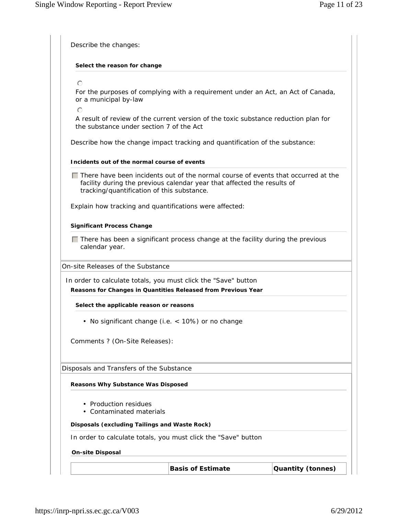| Select the reason for change                            |                                                                                                                                                              |  |
|---------------------------------------------------------|--------------------------------------------------------------------------------------------------------------------------------------------------------------|--|
|                                                         |                                                                                                                                                              |  |
| $\odot$                                                 |                                                                                                                                                              |  |
| or a municipal by-law<br>$\bigcap$                      | For the purposes of complying with a requirement under an Act, an Act of Canada,                                                                             |  |
| the substance under section 7 of the Act                | A result of review of the current version of the toxic substance reduction plan for                                                                          |  |
|                                                         | Describe how the change impact tracking and quantification of the substance:                                                                                 |  |
| Incidents out of the normal course of events            |                                                                                                                                                              |  |
| tracking/quantification of this substance.              | There have been incidents out of the normal course of events that occurred at the<br>facility during the previous calendar year that affected the results of |  |
| Explain how tracking and quantifications were affected: |                                                                                                                                                              |  |
| <b>Significant Process Change</b>                       |                                                                                                                                                              |  |
| calendar year.                                          | $\Box$ There has been a significant process change at the facility during the previous                                                                       |  |
| On-site Releases of the Substance                       |                                                                                                                                                              |  |
|                                                         | In order to calculate totals, you must click the "Save" button                                                                                               |  |
|                                                         | Reasons for Changes in Quantities Released from Previous Year                                                                                                |  |
| Select the applicable reason or reasons                 |                                                                                                                                                              |  |
|                                                         | • No significant change (i.e. < 10%) or no change                                                                                                            |  |
| Comments ? (On-Site Releases):                          |                                                                                                                                                              |  |
| Disposals and Transfers of the Substance                |                                                                                                                                                              |  |
| Reasons Why Substance Was Disposed                      |                                                                                                                                                              |  |
| • Production residues<br>• Contaminated materials       |                                                                                                                                                              |  |
| Disposals (excluding Tailings and Waste Rock)           |                                                                                                                                                              |  |
|                                                         | In order to calculate totals, you must click the "Save" button                                                                                               |  |
|                                                         |                                                                                                                                                              |  |
| <b>On-site Disposal</b>                                 |                                                                                                                                                              |  |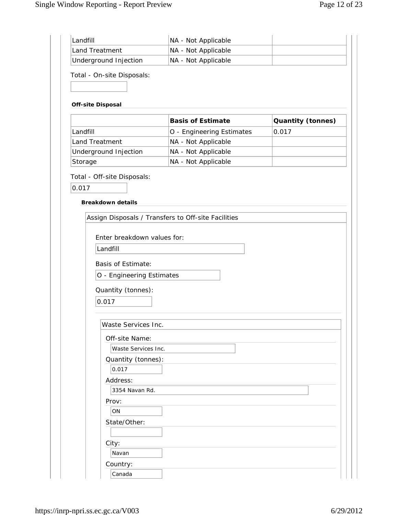| Land Treatment                                         | NA - Not Applicable                                 |                          |
|--------------------------------------------------------|-----------------------------------------------------|--------------------------|
| Underground Injection                                  | NA - Not Applicable                                 |                          |
| Total - On-site Disposals:<br><b>Off-site Disposal</b> |                                                     |                          |
|                                                        | <b>Basis of Estimate</b>                            | <b>Quantity (tonnes)</b> |
| Landfill                                               | O - Engineering Estimates                           | 0.017                    |
| Land Treatment                                         | NA - Not Applicable                                 |                          |
| Underground Injection                                  | NA - Not Applicable                                 |                          |
| Storage                                                | NA - Not Applicable                                 |                          |
| <b>Breakdown details</b>                               |                                                     |                          |
|                                                        | Assign Disposals / Transfers to Off-site Facilities |                          |
| Enter breakdown values for:                            |                                                     |                          |
| Landfill                                               |                                                     |                          |
| <b>Basis of Estimate:</b>                              |                                                     |                          |
| O - Engineering Estimates                              |                                                     |                          |
| Quantity (tonnes):                                     |                                                     |                          |
| 0.017                                                  |                                                     |                          |
|                                                        |                                                     |                          |
| Waste Services Inc.                                    |                                                     |                          |
| Off-site Name:                                         |                                                     |                          |
| Waste Services Inc.                                    |                                                     |                          |
|                                                        |                                                     |                          |
| Quantity (tonnes):                                     |                                                     |                          |
| 0.017                                                  |                                                     |                          |
| Address:                                               |                                                     |                          |
| 3354 Navan Rd.                                         |                                                     |                          |
| Prov:                                                  |                                                     |                          |
| ON                                                     |                                                     |                          |
| State/Other:                                           |                                                     |                          |
|                                                        |                                                     |                          |
| City:<br>Navan                                         |                                                     |                          |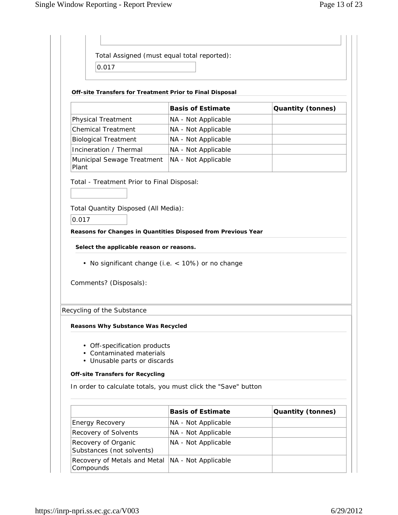| Total Assigned (must equal total reported):<br>0.017                                          |                          |                          |
|-----------------------------------------------------------------------------------------------|--------------------------|--------------------------|
| Off-site Transfers for Treatment Prior to Final Disposal                                      |                          |                          |
|                                                                                               | <b>Basis of Estimate</b> | <b>Quantity (tonnes)</b> |
| <b>Physical Treatment</b>                                                                     | NA - Not Applicable      |                          |
| <b>Chemical Treatment</b>                                                                     | NA - Not Applicable      |                          |
| <b>Biological Treatment</b>                                                                   | NA - Not Applicable      |                          |
| Incineration / Thermal                                                                        | NA - Not Applicable      |                          |
| Municipal Sewage Treatment<br>Plant                                                           | NA - Not Applicable      |                          |
| Total - Treatment Prior to Final Disposal:                                                    |                          |                          |
|                                                                                               |                          |                          |
| Total Quantity Disposed (All Media):                                                          |                          |                          |
| 0.017                                                                                         |                          |                          |
| Reasons for Changes in Quantities Disposed from Previous Year                                 |                          |                          |
|                                                                                               |                          |                          |
| Select the applicable reason or reasons.<br>• No significant change (i.e. < 10%) or no change |                          |                          |
| Comments? (Disposals):                                                                        |                          |                          |
| Recycling of the Substance                                                                    |                          |                          |
|                                                                                               |                          |                          |
| <b>Reasons Why Substance Was Recycled</b>                                                     |                          |                          |
|                                                                                               |                          |                          |
| • Off-specification products<br><b>Contaminated materials</b>                                 |                          |                          |
| • Unusable parts or discards                                                                  |                          |                          |
| <b>Off-site Transfers for Recycling</b>                                                       |                          |                          |
|                                                                                               |                          |                          |
|                                                                                               | <b>Basis of Estimate</b> | <b>Quantity (tonnes)</b> |
| In order to calculate totals, you must click the "Save" button<br><b>Energy Recovery</b>      | NA - Not Applicable      |                          |
| Recovery of Solvents                                                                          | NA - Not Applicable      |                          |
| Recovery of Organic<br>Substances (not solvents)                                              | NA - Not Applicable      |                          |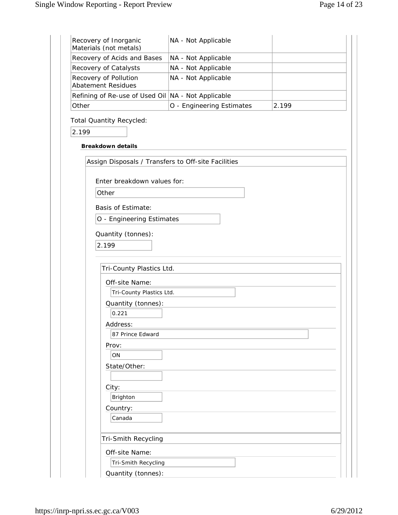| Recovery of Inorganic<br>Materials (not metals)      | NA - Not Applicable       |       |
|------------------------------------------------------|---------------------------|-------|
| Recovery of Acids and Bases                          | NA - Not Applicable       |       |
| Recovery of Catalysts                                | NA - Not Applicable       |       |
| Recovery of Pollution<br><b>Abatement Residues</b>   | NA - Not Applicable       |       |
| Refining of Re-use of Used Oil   NA - Not Applicable |                           |       |
| Other                                                | O - Engineering Estimates | 2.199 |
| <b>Total Quantity Recycled:</b>                      |                           |       |
| 2.199                                                |                           |       |
|                                                      |                           |       |
| <b>Breakdown details</b>                             |                           |       |
| Assign Disposals / Transfers to Off-site Facilities  |                           |       |
|                                                      |                           |       |
| Enter breakdown values for:                          |                           |       |
| Other                                                |                           |       |
| <b>Basis of Estimate:</b>                            |                           |       |
| O - Engineering Estimates                            |                           |       |
| Quantity (tonnes):                                   |                           |       |
| 2.199                                                |                           |       |
|                                                      |                           |       |
|                                                      |                           |       |
| Tri-County Plastics Ltd.                             |                           |       |
| Off-site Name:                                       |                           |       |
| Tri-County Plastics Ltd.                             |                           |       |
| Quantity (tonnes):<br>0.221                          |                           |       |
| Address:                                             |                           |       |
| 87 Prince Edward                                     |                           |       |
| Prov:                                                |                           |       |
| ON                                                   |                           |       |
| State/Other:                                         |                           |       |
|                                                      |                           |       |
| City:                                                |                           |       |
| Brighton                                             |                           |       |
| Country:                                             |                           |       |
| Canada                                               |                           |       |
|                                                      |                           |       |
| Tri-Smith Recycling                                  |                           |       |
| Off-site Name:                                       |                           |       |
| Tri-Smith Recycling                                  |                           |       |
| Quantity (tonnes):                                   |                           |       |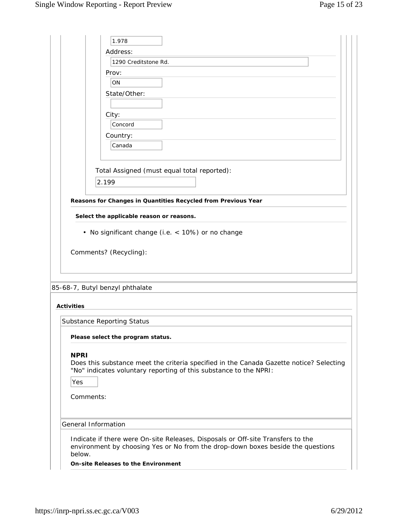|                   | 1.978                                                                                                                                                              |
|-------------------|--------------------------------------------------------------------------------------------------------------------------------------------------------------------|
|                   | Address:                                                                                                                                                           |
|                   | 1290 Creditstone Rd.                                                                                                                                               |
|                   | Prov:                                                                                                                                                              |
|                   | ON                                                                                                                                                                 |
|                   | State/Other:                                                                                                                                                       |
|                   |                                                                                                                                                                    |
|                   | City:                                                                                                                                                              |
|                   | Concord                                                                                                                                                            |
|                   | Country:                                                                                                                                                           |
|                   | Canada                                                                                                                                                             |
|                   |                                                                                                                                                                    |
|                   | Total Assigned (must equal total reported):                                                                                                                        |
|                   |                                                                                                                                                                    |
|                   | 2.199                                                                                                                                                              |
|                   | Reasons for Changes in Quantities Recycled from Previous Year                                                                                                      |
|                   |                                                                                                                                                                    |
|                   | Select the applicable reason or reasons.                                                                                                                           |
|                   | • No significant change (i.e. < 10%) or no change                                                                                                                  |
|                   |                                                                                                                                                                    |
|                   | Comments? (Recycling):                                                                                                                                             |
|                   |                                                                                                                                                                    |
|                   |                                                                                                                                                                    |
|                   |                                                                                                                                                                    |
|                   | 85-68-7, Butyl benzyl phthalate                                                                                                                                    |
|                   |                                                                                                                                                                    |
| <b>Activities</b> |                                                                                                                                                                    |
|                   | Substance Reporting Status                                                                                                                                         |
|                   |                                                                                                                                                                    |
|                   | Please select the program status.                                                                                                                                  |
| <b>NPRI</b>       |                                                                                                                                                                    |
|                   | Does this substance meet the criteria specified in the Canada Gazette notice? Selecting                                                                            |
|                   | "No" indicates voluntary reporting of this substance to the NPRI:                                                                                                  |
| Yes               |                                                                                                                                                                    |
|                   |                                                                                                                                                                    |
|                   | Comments:                                                                                                                                                          |
|                   |                                                                                                                                                                    |
|                   | General Information                                                                                                                                                |
|                   |                                                                                                                                                                    |
|                   | Indicate if there were On-site Releases, Disposals or Off-site Transfers to the<br>environment by choosing Yes or No from the drop-down boxes beside the questions |
| below.            |                                                                                                                                                                    |
|                   | <b>On-site Releases to the Environment</b>                                                                                                                         |
|                   |                                                                                                                                                                    |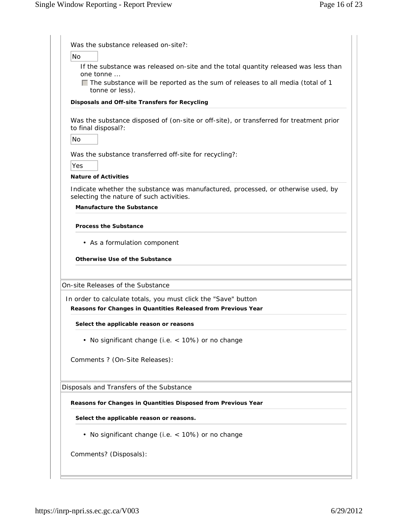| Was the substance released on-site?:                                                                                          |
|-------------------------------------------------------------------------------------------------------------------------------|
| Nο                                                                                                                            |
| If the substance was released on-site and the total quantity released was less than<br>one tonne                              |
| $\Box$ The substance will be reported as the sum of releases to all media (total of 1<br>tonne or less).                      |
| Disposals and Off-site Transfers for Recycling                                                                                |
|                                                                                                                               |
| Was the substance disposed of (on-site or off-site), or transferred for treatment prior<br>to final disposal?:                |
| No                                                                                                                            |
| Was the substance transferred off-site for recycling?:                                                                        |
| Yes                                                                                                                           |
| <b>Nature of Activities</b>                                                                                                   |
| Indicate whether the substance was manufactured, processed, or otherwise used, by<br>selecting the nature of such activities. |
| <b>Manufacture the Substance</b>                                                                                              |
|                                                                                                                               |
| <b>Process the Substance</b>                                                                                                  |
| • As a formulation component                                                                                                  |
|                                                                                                                               |
| <b>Otherwise Use of the Substance</b>                                                                                         |
|                                                                                                                               |
| On-site Releases of the Substance                                                                                             |
| In order to calculate totals, you must click the "Save" button                                                                |
| Reasons for Changes in Quantities Released from Previous Year                                                                 |
| Select the applicable reason or reasons                                                                                       |
| • No significant change (i.e. < 10%) or no change                                                                             |
| Comments ? (On-Site Releases):                                                                                                |
|                                                                                                                               |
| Disposals and Transfers of the Substance                                                                                      |
| Reasons for Changes in Quantities Disposed from Previous Year                                                                 |
| Select the applicable reason or reasons.                                                                                      |
| • No significant change (i.e. < 10%) or no change                                                                             |
| Comments? (Disposals):                                                                                                        |
|                                                                                                                               |
|                                                                                                                               |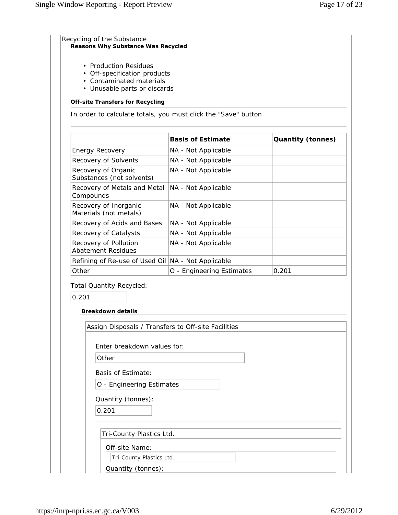| <b>Off-site Transfers for Recycling</b><br><b>Energy Recovery</b><br>Recovery of Solvents<br>Recovery of Organic<br>Substances (not solvents) | In order to calculate totals, you must click the "Save" button<br><b>Basis of Estimate</b><br>NA - Not Applicable<br>NA - Not Applicable | <b>Quantity (tonnes)</b> |
|-----------------------------------------------------------------------------------------------------------------------------------------------|------------------------------------------------------------------------------------------------------------------------------------------|--------------------------|
|                                                                                                                                               |                                                                                                                                          |                          |
|                                                                                                                                               |                                                                                                                                          |                          |
|                                                                                                                                               |                                                                                                                                          |                          |
|                                                                                                                                               |                                                                                                                                          |                          |
|                                                                                                                                               |                                                                                                                                          |                          |
|                                                                                                                                               | NA - Not Applicable                                                                                                                      |                          |
| Recovery of Metals and Metal<br>Compounds                                                                                                     | NA - Not Applicable                                                                                                                      |                          |
| Recovery of Inorganic<br>Materials (not metals)                                                                                               | NA - Not Applicable                                                                                                                      |                          |
| Recovery of Acids and Bases                                                                                                                   | NA - Not Applicable                                                                                                                      |                          |
| Recovery of Catalysts                                                                                                                         | NA - Not Applicable                                                                                                                      |                          |
| Recovery of Pollution<br><b>Abatement Residues</b>                                                                                            | NA - Not Applicable                                                                                                                      |                          |
| Refining of Re-use of Used Oil   NA - Not Applicable                                                                                          |                                                                                                                                          |                          |
| Other                                                                                                                                         | O - Engineering Estimates                                                                                                                | 0.201                    |
| <b>Total Quantity Recycled:</b>                                                                                                               |                                                                                                                                          |                          |
| 0.201                                                                                                                                         |                                                                                                                                          |                          |
|                                                                                                                                               |                                                                                                                                          |                          |
| <b>Breakdown details</b>                                                                                                                      |                                                                                                                                          |                          |
| Assign Disposals / Transfers to Off-site Facilities                                                                                           |                                                                                                                                          |                          |
|                                                                                                                                               |                                                                                                                                          |                          |
| Enter breakdown values for:                                                                                                                   |                                                                                                                                          |                          |
| Other                                                                                                                                         |                                                                                                                                          |                          |
| <b>Basis of Estimate:</b>                                                                                                                     |                                                                                                                                          |                          |
| O - Engineering Estimates                                                                                                                     |                                                                                                                                          |                          |
| Quantity (tonnes):                                                                                                                            |                                                                                                                                          |                          |
| 0.201                                                                                                                                         |                                                                                                                                          |                          |
|                                                                                                                                               |                                                                                                                                          |                          |
| Tri-County Plastics Ltd.                                                                                                                      |                                                                                                                                          |                          |
| Off-site Name:                                                                                                                                |                                                                                                                                          |                          |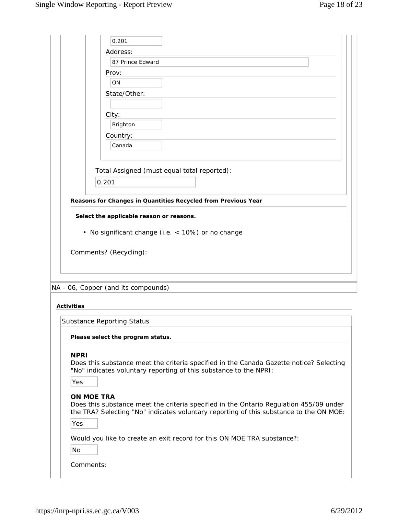| 0.201<br>Address:<br>87 Prince Edward<br>Prov:<br>ON<br>State/Other:<br>City:<br>Brighton<br>Country:<br>Canada<br>Total Assigned (must equal total reported):<br>0.201<br>Reasons for Changes in Quantities Recycled from Previous Year<br>Select the applicable reason or reasons.<br>• No significant change (i.e. < 10%) or no change<br>Comments? (Recycling):<br>NA - 06, Copper (and its compounds)<br><b>Activities</b><br><b>Substance Reporting Status</b><br>Please select the program status.<br><b>NPRI</b><br>Does this substance meet the criteria specified in the Canada Gazette notice? Selecting<br>"No" indicates voluntary reporting of this substance to the NPRI:<br>Yes<br><b>ON MOE TRA</b><br>Does this substance meet the criteria specified in the Ontario Regulation 455/09 under<br>the TRA? Selecting "No" indicates voluntary reporting of this substance to the ON MOE:<br>Yes<br>Would you like to create an exit record for this ON MOE TRA substance?:<br>No<br>Comments: |  |
|---------------------------------------------------------------------------------------------------------------------------------------------------------------------------------------------------------------------------------------------------------------------------------------------------------------------------------------------------------------------------------------------------------------------------------------------------------------------------------------------------------------------------------------------------------------------------------------------------------------------------------------------------------------------------------------------------------------------------------------------------------------------------------------------------------------------------------------------------------------------------------------------------------------------------------------------------------------------------------------------------------------|--|
|                                                                                                                                                                                                                                                                                                                                                                                                                                                                                                                                                                                                                                                                                                                                                                                                                                                                                                                                                                                                               |  |
|                                                                                                                                                                                                                                                                                                                                                                                                                                                                                                                                                                                                                                                                                                                                                                                                                                                                                                                                                                                                               |  |
|                                                                                                                                                                                                                                                                                                                                                                                                                                                                                                                                                                                                                                                                                                                                                                                                                                                                                                                                                                                                               |  |
|                                                                                                                                                                                                                                                                                                                                                                                                                                                                                                                                                                                                                                                                                                                                                                                                                                                                                                                                                                                                               |  |
|                                                                                                                                                                                                                                                                                                                                                                                                                                                                                                                                                                                                                                                                                                                                                                                                                                                                                                                                                                                                               |  |
|                                                                                                                                                                                                                                                                                                                                                                                                                                                                                                                                                                                                                                                                                                                                                                                                                                                                                                                                                                                                               |  |
|                                                                                                                                                                                                                                                                                                                                                                                                                                                                                                                                                                                                                                                                                                                                                                                                                                                                                                                                                                                                               |  |
|                                                                                                                                                                                                                                                                                                                                                                                                                                                                                                                                                                                                                                                                                                                                                                                                                                                                                                                                                                                                               |  |
|                                                                                                                                                                                                                                                                                                                                                                                                                                                                                                                                                                                                                                                                                                                                                                                                                                                                                                                                                                                                               |  |
|                                                                                                                                                                                                                                                                                                                                                                                                                                                                                                                                                                                                                                                                                                                                                                                                                                                                                                                                                                                                               |  |
|                                                                                                                                                                                                                                                                                                                                                                                                                                                                                                                                                                                                                                                                                                                                                                                                                                                                                                                                                                                                               |  |
|                                                                                                                                                                                                                                                                                                                                                                                                                                                                                                                                                                                                                                                                                                                                                                                                                                                                                                                                                                                                               |  |
|                                                                                                                                                                                                                                                                                                                                                                                                                                                                                                                                                                                                                                                                                                                                                                                                                                                                                                                                                                                                               |  |
|                                                                                                                                                                                                                                                                                                                                                                                                                                                                                                                                                                                                                                                                                                                                                                                                                                                                                                                                                                                                               |  |
|                                                                                                                                                                                                                                                                                                                                                                                                                                                                                                                                                                                                                                                                                                                                                                                                                                                                                                                                                                                                               |  |
|                                                                                                                                                                                                                                                                                                                                                                                                                                                                                                                                                                                                                                                                                                                                                                                                                                                                                                                                                                                                               |  |
|                                                                                                                                                                                                                                                                                                                                                                                                                                                                                                                                                                                                                                                                                                                                                                                                                                                                                                                                                                                                               |  |
|                                                                                                                                                                                                                                                                                                                                                                                                                                                                                                                                                                                                                                                                                                                                                                                                                                                                                                                                                                                                               |  |
|                                                                                                                                                                                                                                                                                                                                                                                                                                                                                                                                                                                                                                                                                                                                                                                                                                                                                                                                                                                                               |  |
|                                                                                                                                                                                                                                                                                                                                                                                                                                                                                                                                                                                                                                                                                                                                                                                                                                                                                                                                                                                                               |  |
|                                                                                                                                                                                                                                                                                                                                                                                                                                                                                                                                                                                                                                                                                                                                                                                                                                                                                                                                                                                                               |  |
|                                                                                                                                                                                                                                                                                                                                                                                                                                                                                                                                                                                                                                                                                                                                                                                                                                                                                                                                                                                                               |  |
|                                                                                                                                                                                                                                                                                                                                                                                                                                                                                                                                                                                                                                                                                                                                                                                                                                                                                                                                                                                                               |  |
|                                                                                                                                                                                                                                                                                                                                                                                                                                                                                                                                                                                                                                                                                                                                                                                                                                                                                                                                                                                                               |  |
|                                                                                                                                                                                                                                                                                                                                                                                                                                                                                                                                                                                                                                                                                                                                                                                                                                                                                                                                                                                                               |  |
|                                                                                                                                                                                                                                                                                                                                                                                                                                                                                                                                                                                                                                                                                                                                                                                                                                                                                                                                                                                                               |  |
|                                                                                                                                                                                                                                                                                                                                                                                                                                                                                                                                                                                                                                                                                                                                                                                                                                                                                                                                                                                                               |  |
|                                                                                                                                                                                                                                                                                                                                                                                                                                                                                                                                                                                                                                                                                                                                                                                                                                                                                                                                                                                                               |  |
|                                                                                                                                                                                                                                                                                                                                                                                                                                                                                                                                                                                                                                                                                                                                                                                                                                                                                                                                                                                                               |  |
|                                                                                                                                                                                                                                                                                                                                                                                                                                                                                                                                                                                                                                                                                                                                                                                                                                                                                                                                                                                                               |  |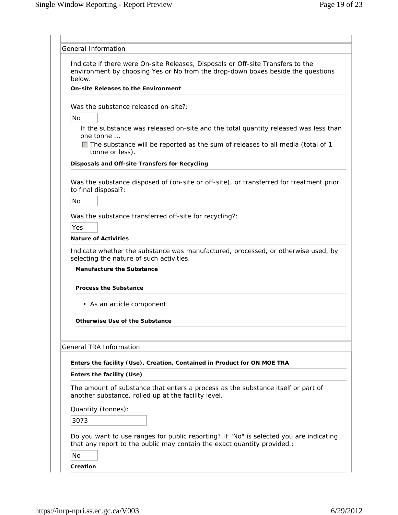| Indicate if there were On-site Releases, Disposals or Off-site Transfers to the<br>environment by choosing Yes or No from the drop-down boxes beside the questions<br>below.<br><b>On-site Releases to the Environment</b><br>Was the substance released on-site?:<br><b>No</b><br>one tonne<br>$\Box$ The substance will be reported as the sum of releases to all media (total of 1<br>tonne or less).<br>Disposals and Off-site Transfers for Recycling<br>Was the substance disposed of (on-site or off-site), or transferred for treatment prior<br>to final disposal?:<br>No<br>Was the substance transferred off-site for recycling?:<br>Yes<br><b>Nature of Activities</b><br>Indicate whether the substance was manufactured, processed, or otherwise used, by<br>selecting the nature of such activities.<br><b>Manufacture the Substance</b><br><b>Process the Substance</b><br>• As an article component<br>Otherwise Use of the Substance<br><b>General TRA Information</b><br>Enters the facility (Use), Creation, Contained in Product for ON MOE TRA<br>Enters the facility (Use)<br>The amount of substance that enters a process as the substance itself or part of<br>another substance, rolled up at the facility level.<br>Quantity (tonnes):<br>3073<br>Do you want to use ranges for public reporting? If "No" is selected you are indicating<br>that any report to the public may contain the exact quantity provided.:<br>No | General Information |
|-------------------------------------------------------------------------------------------------------------------------------------------------------------------------------------------------------------------------------------------------------------------------------------------------------------------------------------------------------------------------------------------------------------------------------------------------------------------------------------------------------------------------------------------------------------------------------------------------------------------------------------------------------------------------------------------------------------------------------------------------------------------------------------------------------------------------------------------------------------------------------------------------------------------------------------------------------------------------------------------------------------------------------------------------------------------------------------------------------------------------------------------------------------------------------------------------------------------------------------------------------------------------------------------------------------------------------------------------------------------------------------------------------------------------------------------------------|---------------------|
|                                                                                                                                                                                                                                                                                                                                                                                                                                                                                                                                                                                                                                                                                                                                                                                                                                                                                                                                                                                                                                                                                                                                                                                                                                                                                                                                                                                                                                                       |                     |
|                                                                                                                                                                                                                                                                                                                                                                                                                                                                                                                                                                                                                                                                                                                                                                                                                                                                                                                                                                                                                                                                                                                                                                                                                                                                                                                                                                                                                                                       |                     |
| If the substance was released on-site and the total quantity released was less than                                                                                                                                                                                                                                                                                                                                                                                                                                                                                                                                                                                                                                                                                                                                                                                                                                                                                                                                                                                                                                                                                                                                                                                                                                                                                                                                                                   |                     |
|                                                                                                                                                                                                                                                                                                                                                                                                                                                                                                                                                                                                                                                                                                                                                                                                                                                                                                                                                                                                                                                                                                                                                                                                                                                                                                                                                                                                                                                       |                     |
|                                                                                                                                                                                                                                                                                                                                                                                                                                                                                                                                                                                                                                                                                                                                                                                                                                                                                                                                                                                                                                                                                                                                                                                                                                                                                                                                                                                                                                                       |                     |
|                                                                                                                                                                                                                                                                                                                                                                                                                                                                                                                                                                                                                                                                                                                                                                                                                                                                                                                                                                                                                                                                                                                                                                                                                                                                                                                                                                                                                                                       |                     |
|                                                                                                                                                                                                                                                                                                                                                                                                                                                                                                                                                                                                                                                                                                                                                                                                                                                                                                                                                                                                                                                                                                                                                                                                                                                                                                                                                                                                                                                       |                     |
|                                                                                                                                                                                                                                                                                                                                                                                                                                                                                                                                                                                                                                                                                                                                                                                                                                                                                                                                                                                                                                                                                                                                                                                                                                                                                                                                                                                                                                                       |                     |
|                                                                                                                                                                                                                                                                                                                                                                                                                                                                                                                                                                                                                                                                                                                                                                                                                                                                                                                                                                                                                                                                                                                                                                                                                                                                                                                                                                                                                                                       |                     |
|                                                                                                                                                                                                                                                                                                                                                                                                                                                                                                                                                                                                                                                                                                                                                                                                                                                                                                                                                                                                                                                                                                                                                                                                                                                                                                                                                                                                                                                       |                     |
|                                                                                                                                                                                                                                                                                                                                                                                                                                                                                                                                                                                                                                                                                                                                                                                                                                                                                                                                                                                                                                                                                                                                                                                                                                                                                                                                                                                                                                                       |                     |
|                                                                                                                                                                                                                                                                                                                                                                                                                                                                                                                                                                                                                                                                                                                                                                                                                                                                                                                                                                                                                                                                                                                                                                                                                                                                                                                                                                                                                                                       |                     |
|                                                                                                                                                                                                                                                                                                                                                                                                                                                                                                                                                                                                                                                                                                                                                                                                                                                                                                                                                                                                                                                                                                                                                                                                                                                                                                                                                                                                                                                       |                     |
|                                                                                                                                                                                                                                                                                                                                                                                                                                                                                                                                                                                                                                                                                                                                                                                                                                                                                                                                                                                                                                                                                                                                                                                                                                                                                                                                                                                                                                                       |                     |
|                                                                                                                                                                                                                                                                                                                                                                                                                                                                                                                                                                                                                                                                                                                                                                                                                                                                                                                                                                                                                                                                                                                                                                                                                                                                                                                                                                                                                                                       |                     |
|                                                                                                                                                                                                                                                                                                                                                                                                                                                                                                                                                                                                                                                                                                                                                                                                                                                                                                                                                                                                                                                                                                                                                                                                                                                                                                                                                                                                                                                       |                     |
|                                                                                                                                                                                                                                                                                                                                                                                                                                                                                                                                                                                                                                                                                                                                                                                                                                                                                                                                                                                                                                                                                                                                                                                                                                                                                                                                                                                                                                                       |                     |
|                                                                                                                                                                                                                                                                                                                                                                                                                                                                                                                                                                                                                                                                                                                                                                                                                                                                                                                                                                                                                                                                                                                                                                                                                                                                                                                                                                                                                                                       |                     |
|                                                                                                                                                                                                                                                                                                                                                                                                                                                                                                                                                                                                                                                                                                                                                                                                                                                                                                                                                                                                                                                                                                                                                                                                                                                                                                                                                                                                                                                       |                     |
|                                                                                                                                                                                                                                                                                                                                                                                                                                                                                                                                                                                                                                                                                                                                                                                                                                                                                                                                                                                                                                                                                                                                                                                                                                                                                                                                                                                                                                                       |                     |
|                                                                                                                                                                                                                                                                                                                                                                                                                                                                                                                                                                                                                                                                                                                                                                                                                                                                                                                                                                                                                                                                                                                                                                                                                                                                                                                                                                                                                                                       |                     |
|                                                                                                                                                                                                                                                                                                                                                                                                                                                                                                                                                                                                                                                                                                                                                                                                                                                                                                                                                                                                                                                                                                                                                                                                                                                                                                                                                                                                                                                       |                     |
|                                                                                                                                                                                                                                                                                                                                                                                                                                                                                                                                                                                                                                                                                                                                                                                                                                                                                                                                                                                                                                                                                                                                                                                                                                                                                                                                                                                                                                                       |                     |
|                                                                                                                                                                                                                                                                                                                                                                                                                                                                                                                                                                                                                                                                                                                                                                                                                                                                                                                                                                                                                                                                                                                                                                                                                                                                                                                                                                                                                                                       |                     |
|                                                                                                                                                                                                                                                                                                                                                                                                                                                                                                                                                                                                                                                                                                                                                                                                                                                                                                                                                                                                                                                                                                                                                                                                                                                                                                                                                                                                                                                       |                     |
|                                                                                                                                                                                                                                                                                                                                                                                                                                                                                                                                                                                                                                                                                                                                                                                                                                                                                                                                                                                                                                                                                                                                                                                                                                                                                                                                                                                                                                                       |                     |
|                                                                                                                                                                                                                                                                                                                                                                                                                                                                                                                                                                                                                                                                                                                                                                                                                                                                                                                                                                                                                                                                                                                                                                                                                                                                                                                                                                                                                                                       |                     |
|                                                                                                                                                                                                                                                                                                                                                                                                                                                                                                                                                                                                                                                                                                                                                                                                                                                                                                                                                                                                                                                                                                                                                                                                                                                                                                                                                                                                                                                       |                     |
|                                                                                                                                                                                                                                                                                                                                                                                                                                                                                                                                                                                                                                                                                                                                                                                                                                                                                                                                                                                                                                                                                                                                                                                                                                                                                                                                                                                                                                                       |                     |
|                                                                                                                                                                                                                                                                                                                                                                                                                                                                                                                                                                                                                                                                                                                                                                                                                                                                                                                                                                                                                                                                                                                                                                                                                                                                                                                                                                                                                                                       |                     |
|                                                                                                                                                                                                                                                                                                                                                                                                                                                                                                                                                                                                                                                                                                                                                                                                                                                                                                                                                                                                                                                                                                                                                                                                                                                                                                                                                                                                                                                       |                     |
|                                                                                                                                                                                                                                                                                                                                                                                                                                                                                                                                                                                                                                                                                                                                                                                                                                                                                                                                                                                                                                                                                                                                                                                                                                                                                                                                                                                                                                                       |                     |
|                                                                                                                                                                                                                                                                                                                                                                                                                                                                                                                                                                                                                                                                                                                                                                                                                                                                                                                                                                                                                                                                                                                                                                                                                                                                                                                                                                                                                                                       |                     |
|                                                                                                                                                                                                                                                                                                                                                                                                                                                                                                                                                                                                                                                                                                                                                                                                                                                                                                                                                                                                                                                                                                                                                                                                                                                                                                                                                                                                                                                       |                     |
|                                                                                                                                                                                                                                                                                                                                                                                                                                                                                                                                                                                                                                                                                                                                                                                                                                                                                                                                                                                                                                                                                                                                                                                                                                                                                                                                                                                                                                                       |                     |
|                                                                                                                                                                                                                                                                                                                                                                                                                                                                                                                                                                                                                                                                                                                                                                                                                                                                                                                                                                                                                                                                                                                                                                                                                                                                                                                                                                                                                                                       |                     |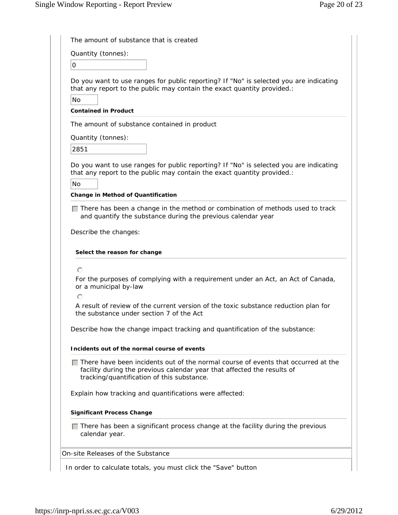| The amount of substance that is created                                                                                                                                                                           |
|-------------------------------------------------------------------------------------------------------------------------------------------------------------------------------------------------------------------|
| Quantity (tonnes):                                                                                                                                                                                                |
| 0                                                                                                                                                                                                                 |
| Do you want to use ranges for public reporting? If "No" is selected you are indicating<br>that any report to the public may contain the exact quantity provided.:<br><b>No</b>                                    |
| <b>Contained in Product</b>                                                                                                                                                                                       |
| The amount of substance contained in product                                                                                                                                                                      |
| Quantity (tonnes):                                                                                                                                                                                                |
| 2851                                                                                                                                                                                                              |
| Do you want to use ranges for public reporting? If "No" is selected you are indicating<br>that any report to the public may contain the exact quantity provided.:<br>No<br>Change in Method of Quantification     |
| $\Box$ There has been a change in the method or combination of methods used to track<br>and quantify the substance during the previous calendar year                                                              |
| Select the reason for change<br>$\bigcap$<br>For the purposes of complying with a requirement under an Act, an Act of Canada,<br>or a municipal by-law                                                            |
| $\bigcirc$                                                                                                                                                                                                        |
| A result of review of the current version of the toxic substance reduction plan for<br>the substance under section 7 of the Act                                                                                   |
| Describe how the change impact tracking and quantification of the substance:                                                                                                                                      |
| Incidents out of the normal course of events                                                                                                                                                                      |
| $\Box$ There have been incidents out of the normal course of events that occurred at the<br>facility during the previous calendar year that affected the results of<br>tracking/quantification of this substance. |
| Explain how tracking and quantifications were affected:                                                                                                                                                           |
| <b>Significant Process Change</b>                                                                                                                                                                                 |
| $\Box$ There has been a significant process change at the facility during the previous<br>calendar year.                                                                                                          |
| On-site Releases of the Substance                                                                                                                                                                                 |
|                                                                                                                                                                                                                   |

In order to calculate totals, you must click the "Save" button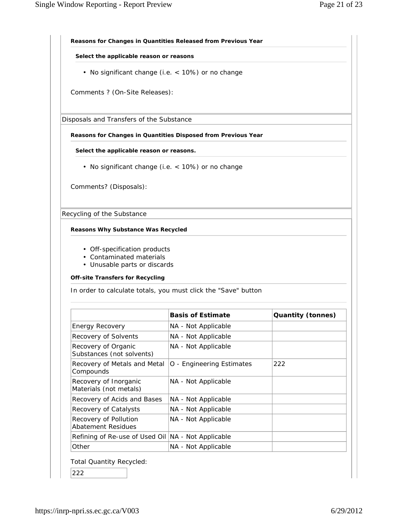| Select the applicable reason or reasons                        |                           |                          |
|----------------------------------------------------------------|---------------------------|--------------------------|
|                                                                |                           |                          |
| • No significant change (i.e. < 10%) or no change              |                           |                          |
| Comments ? (On-Site Releases):                                 |                           |                          |
| Disposals and Transfers of the Substance                       |                           |                          |
| Reasons for Changes in Quantities Disposed from Previous Year  |                           |                          |
| Select the applicable reason or reasons.                       |                           |                          |
| • No significant change (i.e. < 10%) or no change              |                           |                          |
|                                                                |                           |                          |
| Comments? (Disposals):                                         |                           |                          |
|                                                                |                           |                          |
| Recycling of the Substance                                     |                           |                          |
|                                                                |                           |                          |
|                                                                |                           |                          |
| <b>Reasons Why Substance Was Recycled</b>                      |                           |                          |
|                                                                |                           |                          |
| • Off-specification products                                   |                           |                          |
| • Contaminated materials                                       |                           |                          |
| • Unusable parts or discards                                   |                           |                          |
| <b>Off-site Transfers for Recycling</b>                        |                           |                          |
| In order to calculate totals, you must click the "Save" button |                           |                          |
|                                                                |                           |                          |
|                                                                | <b>Basis of Estimate</b>  | <b>Quantity (tonnes)</b> |
| <b>Energy Recovery</b>                                         | NA - Not Applicable       |                          |
| Recovery of Solvents                                           | NA - Not Applicable       |                          |
| Recovery of Organic<br>Substances (not solvents)               | NA - Not Applicable       |                          |
| Recovery of Metals and Metal<br>Compounds                      | O - Engineering Estimates | 222                      |
| Recovery of Inorganic                                          | NA - Not Applicable       |                          |
| Materials (not metals)<br>Recovery of Acids and Bases          | NA - Not Applicable       |                          |
| Recovery of Catalysts                                          | NA - Not Applicable       |                          |
| Recovery of Pollution                                          | NA - Not Applicable       |                          |
| <b>Abatement Residues</b><br>Refining of Re-use of Used Oil    | NA - Not Applicable       |                          |

Total Quantity Recycled:

222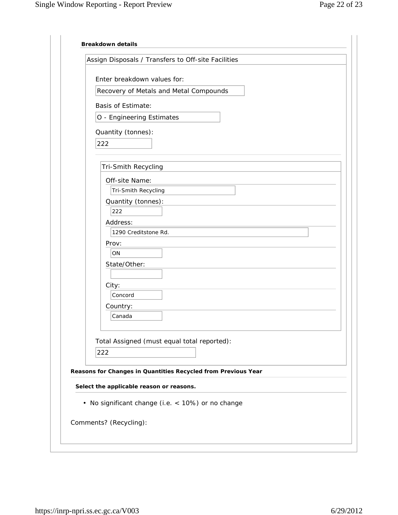| Assign Disposals / Transfers to Off-site Facilities           |
|---------------------------------------------------------------|
| Enter breakdown values for:                                   |
| Recovery of Metals and Metal Compounds                        |
| <b>Basis of Estimate:</b>                                     |
| O - Engineering Estimates                                     |
| Quantity (tonnes):                                            |
| 222                                                           |
|                                                               |
| Tri-Smith Recycling                                           |
| Off-site Name:                                                |
| Tri-Smith Recycling                                           |
| Quantity (tonnes):                                            |
| 222<br>Address:                                               |
| 1290 Creditstone Rd.                                          |
| Prov:                                                         |
| ON                                                            |
| State/Other:                                                  |
|                                                               |
| City:<br>Concord                                              |
| Country:                                                      |
| Canada                                                        |
|                                                               |
| Total Assigned (must equal total reported):                   |
| 222                                                           |
| Reasons for Changes in Quantities Recycled from Previous Year |
|                                                               |
| Select the applicable reason or reasons.                      |
| • No significant change (i.e. < 10%) or no change             |
|                                                               |
| Comments? (Recycling):                                        |